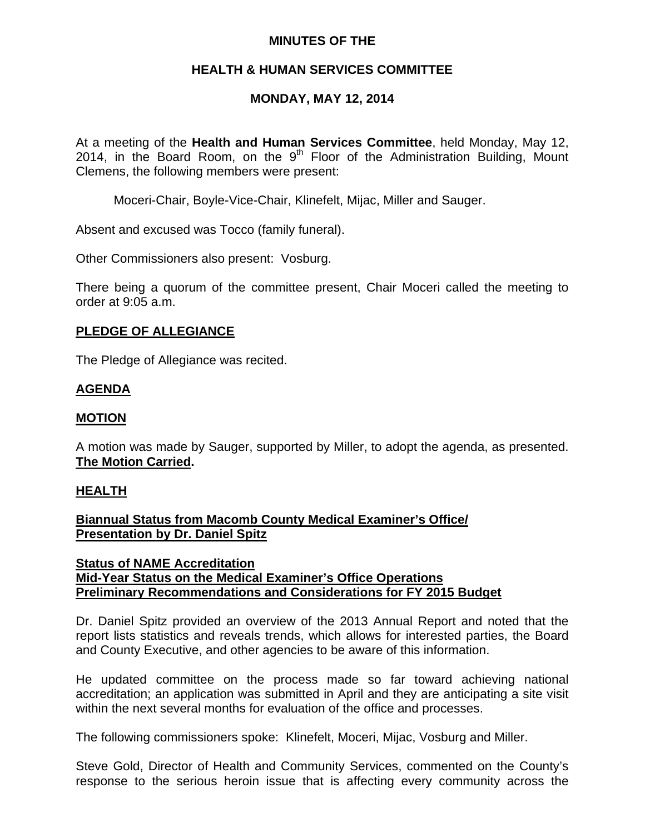# **MINUTES OF THE**

# **HEALTH & HUMAN SERVICES COMMITTEE**

# **MONDAY, MAY 12, 2014**

At a meeting of the **Health and Human Services Committee**, held Monday, May 12, 2014, in the Board Room, on the  $9<sup>th</sup>$  Floor of the Administration Building, Mount Clemens, the following members were present:

Moceri-Chair, Boyle-Vice-Chair, Klinefelt, Mijac, Miller and Sauger.

Absent and excused was Tocco (family funeral).

Other Commissioners also present: Vosburg.

There being a quorum of the committee present, Chair Moceri called the meeting to order at 9:05 a.m.

## **PLEDGE OF ALLEGIANCE**

The Pledge of Allegiance was recited.

# **AGENDA**

## **MOTION**

A motion was made by Sauger, supported by Miller, to adopt the agenda, as presented. **The Motion Carried.** 

## **HEALTH**

# **Biannual Status from Macomb County Medical Examiner's Office/ Presentation by Dr. Daniel Spitz**

## **Status of NAME Accreditation Mid-Year Status on the Medical Examiner's Office Operations Preliminary Recommendations and Considerations for FY 2015 Budget**

Dr. Daniel Spitz provided an overview of the 2013 Annual Report and noted that the report lists statistics and reveals trends, which allows for interested parties, the Board and County Executive, and other agencies to be aware of this information.

He updated committee on the process made so far toward achieving national accreditation; an application was submitted in April and they are anticipating a site visit within the next several months for evaluation of the office and processes.

The following commissioners spoke: Klinefelt, Moceri, Mijac, Vosburg and Miller.

Steve Gold, Director of Health and Community Services, commented on the County's response to the serious heroin issue that is affecting every community across the